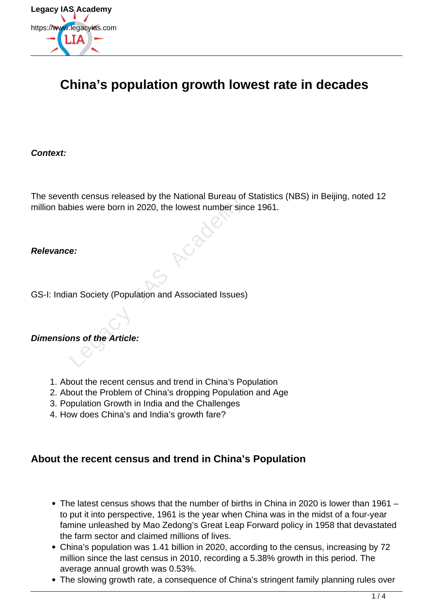

# **China's population growth lowest rate in decades**

**Context:**

The seventh census released by the National Bureau of Statistics (NBS) in Beijing, noted 12 million babies were born in 2020, the lowest number since 1961. International Bureau of<br>Dies were born in 2020, the lowest number sind<br>Dies were born in 2020, the lowest number sind<br>Dies were born in 2020, the lowest number sind<br>Price:<br>And Academy Academy Social Control of the Article:

### **Relevance:**

GS-I: Indian Society (Population and Associated Issues)

### **Dimensions of the Article:**

- 1. About the recent census and trend in China's Population
- 2. About the Problem of China's dropping Population and Age
- 3. Population Growth in India and the Challenges
- 4. How does China's and India's growth fare?

### **About the recent census and trend in China's Population**

- The latest census shows that the number of births in China in 2020 is lower than 1961 to put it into perspective, 1961 is the year when China was in the midst of a four-year famine unleashed by Mao Zedong's Great Leap Forward policy in 1958 that devastated the farm sector and claimed millions of lives.
- China's population was 1.41 billion in 2020, according to the census, increasing by 72 million since the last census in 2010, recording a 5.38% growth in this period. The average annual growth was 0.53%.
- The slowing growth rate, a consequence of China's stringent family planning rules over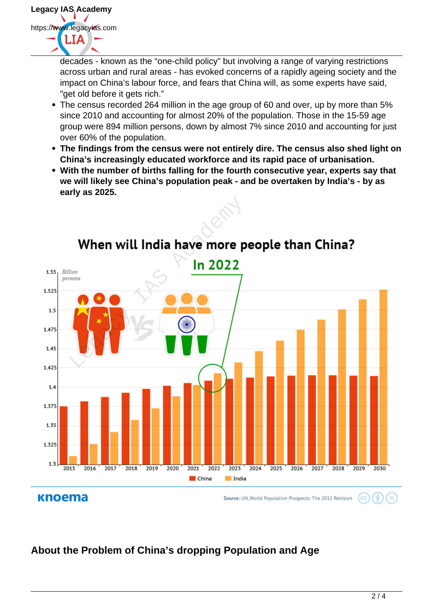

decades - known as the "one-child policy" but involving a range of varying restrictions across urban and rural areas - has evoked concerns of a rapidly ageing society and the impact on China's labour force, and fears that China will, as some experts have said, "get old before it gets rich."

- The census recorded 264 million in the age group of 60 and over, up by more than 5% since 2010 and accounting for almost 20% of the population. Those in the 15-59 age group were 894 million persons, down by almost 7% since 2010 and accounting for just over 60% of the population.
- **The findings from the census were not entirely dire. The census also shed light on China's increasingly educated workforce and its rapid pace of urbanisation.**
- **With the number of births falling for the fourth consecutive year, experts say that we will likely see China's population peak - and be overtaken by India's - by as early as 2025.**





# **About the Problem of China's dropping Population and Age**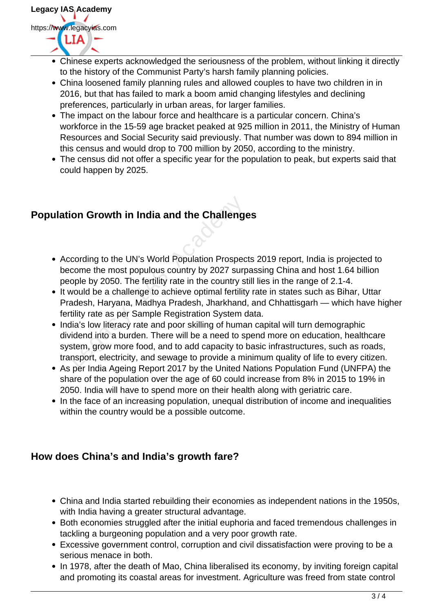- Chinese experts acknowledged the seriousness of the problem, without linking it directly to the history of the Communist Party's harsh family planning policies.
- China loosened family planning rules and allowed couples to have two children in in 2016, but that has failed to mark a boom amid changing lifestyles and declining preferences, particularly in urban areas, for larger families.
- The impact on the labour force and healthcare is a particular concern. China's workforce in the 15-59 age bracket peaked at 925 million in 2011, the Ministry of Human Resources and Social Security said previously. That number was down to 894 million in this census and would drop to 700 million by 2050, according to the ministry.
- The census did not offer a specific year for the population to peak, but experts said that could happen by 2025.

## **Population Growth in India and the Challenges**

- According to the UN's World Population Prospects 2019 report, India is projected to become the most populous country by 2027 surpassing China and host 1.64 billion people by 2050. The fertility rate in the country still lies in the range of 2.1-4.
- It would be a challenge to achieve optimal fertility rate in states such as Bihar, Uttar Pradesh, Haryana, Madhya Pradesh, Jharkhand, and Chhattisgarh — which have higher fertility rate as per Sample Registration System data.
- India's low literacy rate and poor skilling of human capital will turn demographic dividend into a burden. There will be a need to spend more on education, healthcare system, grow more food, and to add capacity to basic infrastructures, such as roads, transport, electricity, and sewage to provide a minimum quality of life to every citizen. **ion Growth in India and the Challenge**<br>coording to the UN's World Population Prospec<br>come the most populous country by 2027 surp<br>ople by 2050. The fertility rate in the country st<br>would be a challenge to achieve optimal f
- As per India Ageing Report 2017 by the United Nations Population Fund (UNFPA) the share of the population over the age of 60 could increase from 8% in 2015 to 19% in 2050. India will have to spend more on their health along with geriatric care.
- In the face of an increasing population, unequal distribution of income and inequalities within the country would be a possible outcome.

### **How does China's and India's growth fare?**

- China and India started rebuilding their economies as independent nations in the 1950s, with India having a greater structural advantage.
- Both economies struggled after the initial euphoria and faced tremendous challenges in tackling a burgeoning population and a very poor growth rate.
- Excessive government control, corruption and civil dissatisfaction were proving to be a serious menace in both.
- In 1978, after the death of Mao, China liberalised its economy, by inviting foreign capital and promoting its coastal areas for investment. Agriculture was freed from state control